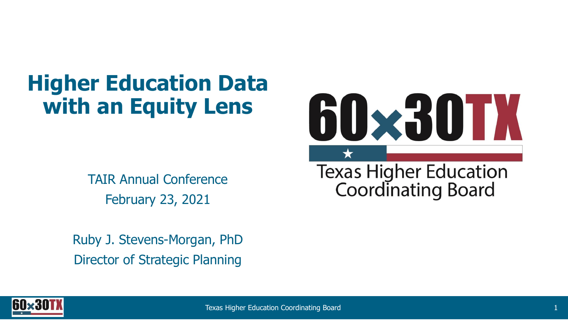## **Higher Education Data with an Equity Lens**

TAIR Annual Conference February 23, 2021

Ruby J. Stevens-Morgan, PhD Director of Strategic Planning



Texas Higher Education<br>Coordinating Board

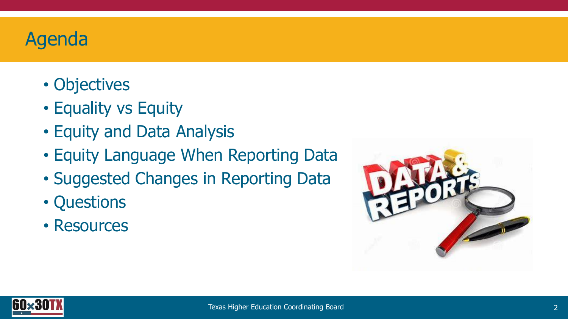#### Agenda

- Objectives
- Equality vs Equity
- Equity and Data Analysis
- Equity Language When Reporting Data
- Suggested Changes in Reporting Data
- Questions
- Resources



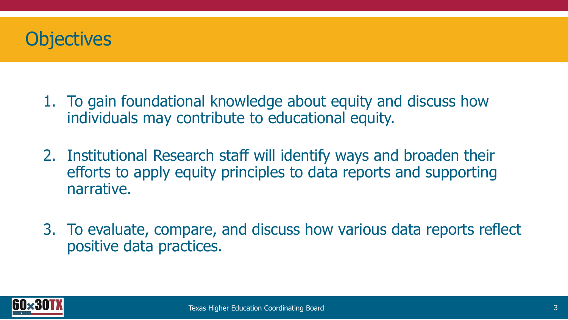

- 1. To gain foundational knowledge about equity and discuss how individuals may contribute to educational equity.
- 2. Institutional Research staff will identify ways and broaden their efforts to apply equity principles to data reports and supporting narrative.
- 3. To evaluate, compare, and discuss how various data reports reflect positive data practices.

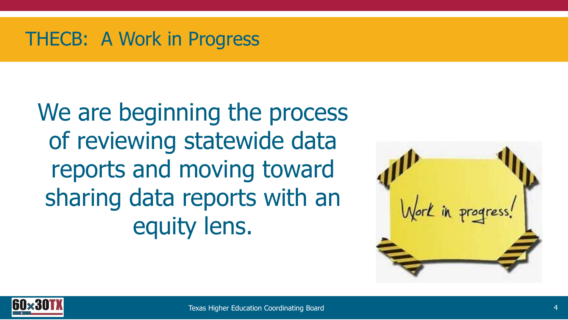#### THECB: A Work in Progress

We are beginning the process of reviewing statewide data reports and moving toward sharing data reports with an equity lens.



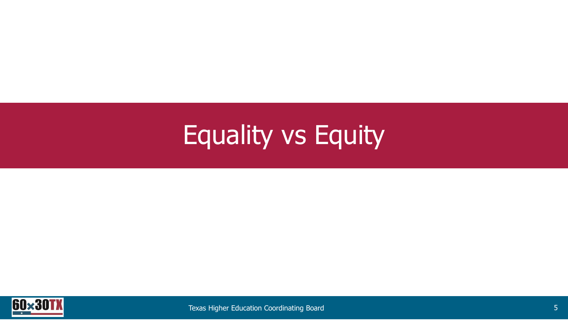# Equality vs Equity

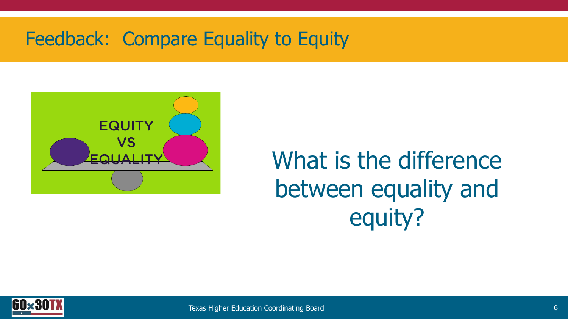#### Feedback: Compare Equality to Equity



## What is the difference between equality and equity?

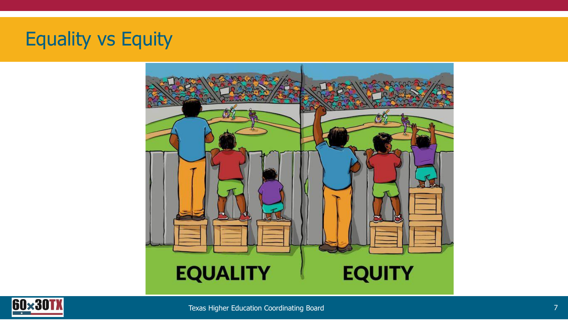### Equality vs Equity



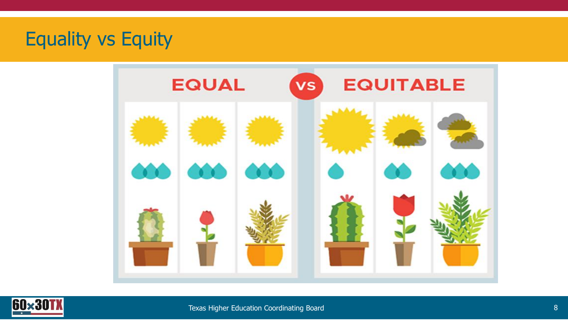#### Equality vs Equity



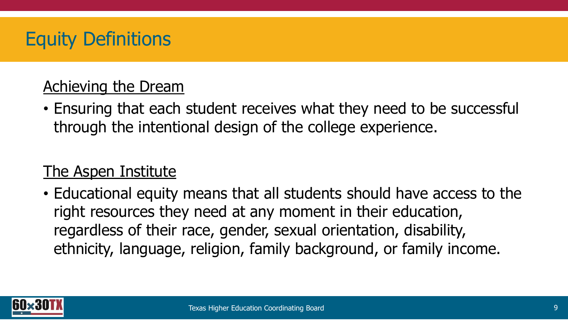#### Equity Definitions

#### Achieving the Dream

• Ensuring that each student receives what they need to be successful through the intentional design of the college experience.

#### The Aspen Institute

• Educational equity means that all students should have access to the right resources they need at any moment in their education, regardless of their race, gender, sexual orientation, disability, ethnicity, language, religion, family background, or family income.

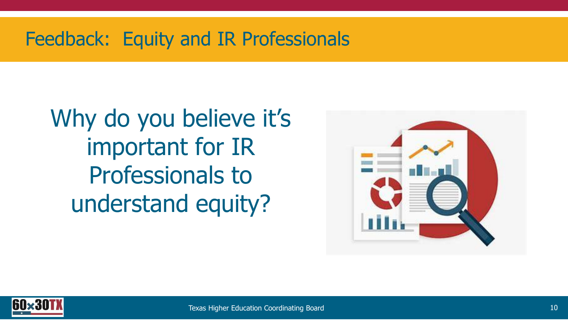#### Feedback: Equity and IR Professionals

Why do you believe it's important for IR Professionals to understand equity?



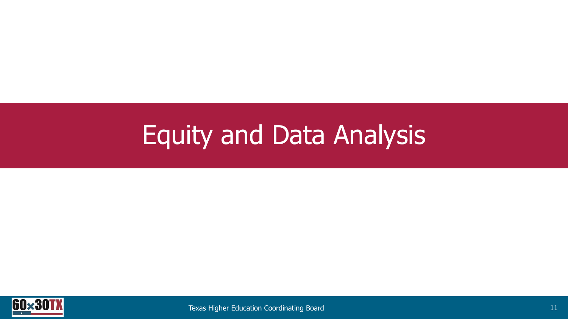# Equity and Data Analysis

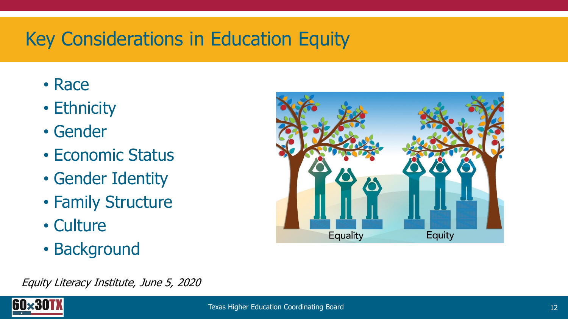### Key Considerations in Education Equity

- Race
- Ethnicity
- Gender
- Economic Status
- Gender Identity
- Family Structure
- Culture
- Background



Equity Literacy Institute, June 5, 2020

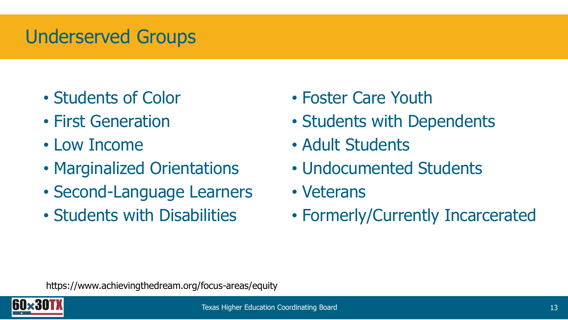### Underserved Groups

- Students of Color
- First Generation
- Low Income
- Marginalized Orientations
- Second-Language Learners
- Students with Disabilities
- Foster Care Youth
- Students with Dependents
- Adult Students
- Undocumented Students
- Veterans
- Formerly/Currently Incarcerated

https://www.achievingthedream.org/focus-areas/equity

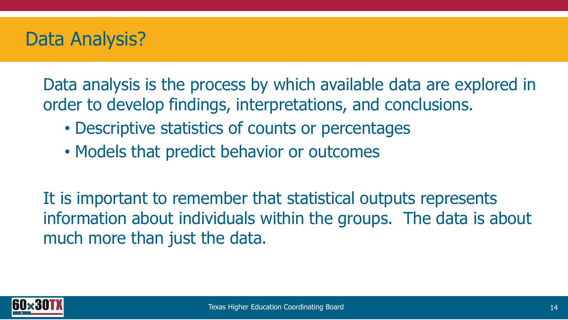#### Data Analysis?

Data analysis is the process by which available data are explored in order to develop findings, interpretations, and conclusions.

- Descriptive statistics of counts or percentages
- Models that predict behavior or outcomes

It is important to remember that statistical outputs represents information about individuals within the groups. The data is about much more than just the data.

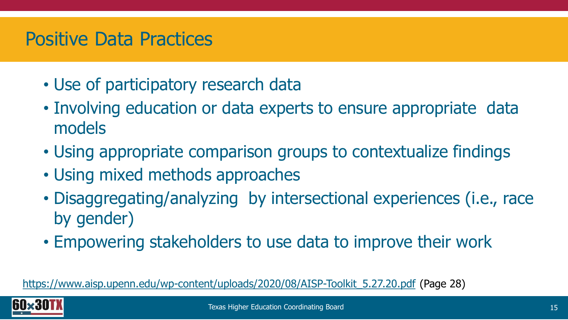#### Positive Data Practices

- Use of participatory research data
- Involving education or data experts to ensure appropriate data models
- Using appropriate comparison groups to contextualize findings
- Using mixed methods approaches
- Disaggregating/analyzing by intersectional experiences (i.e., race by gender)
- Empowering stakeholders to use data to improve their work

[https://www.aisp.upenn.edu/wp-content/uploads/2020/08/AISP-Toolkit\\_5.27.20.pdf](https://www.aisp.upenn.edu/wp-content/uploads/2020/08/AISP-Toolkit_5.27.20.pdf) (Page 28)

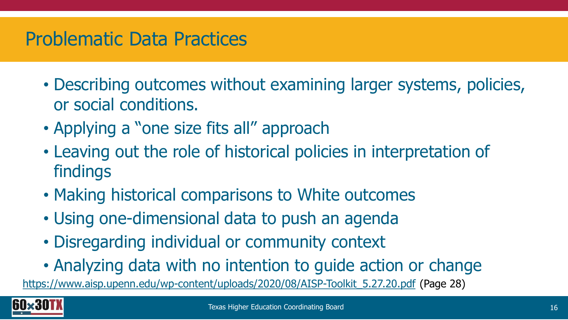#### Problematic Data Practices

- Describing outcomes without examining larger systems, policies, or social conditions.
- Applying a "one size fits all" approach
- Leaving out the role of historical policies in interpretation of findings
- Making historical comparisons to White outcomes
- Using one-dimensional data to push an agenda
- Disregarding individual or community context
- Analyzing data with no intention to guide action or change

[https://www.aisp.upenn.edu/wp-content/uploads/2020/08/AISP-Toolkit\\_5.27.20.pdf](https://www.aisp.upenn.edu/wp-content/uploads/2020/08/AISP-Toolkit_5.27.20.pdf) (Page 28)

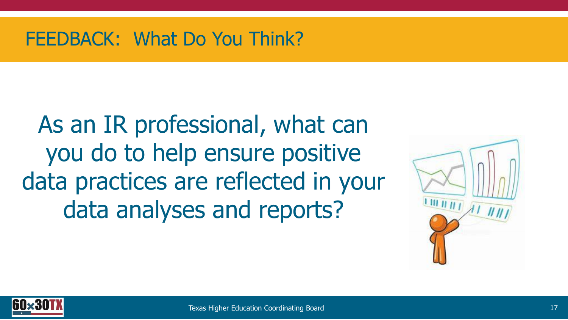#### FEEDBACK: What Do You Think?

As an IR professional, what can you do to help ensure positive data practices are reflected in your data analyses and reports?



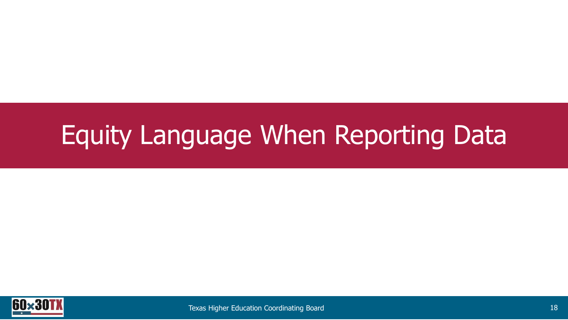# Equity Language When Reporting Data

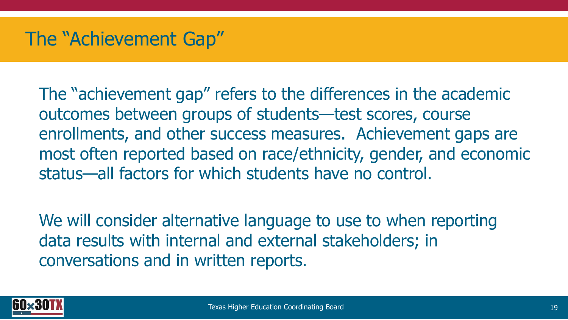#### The "Achievement Gap"

The "achievement gap" refers to the differences in the academic outcomes between groups of students—test scores, course enrollments, and other success measures. Achievement gaps are most often reported based on race/ethnicity, gender, and economic status—all factors for which students have no control.

We will consider alternative language to use to when reporting data results with internal and external stakeholders; in conversations and in written reports.

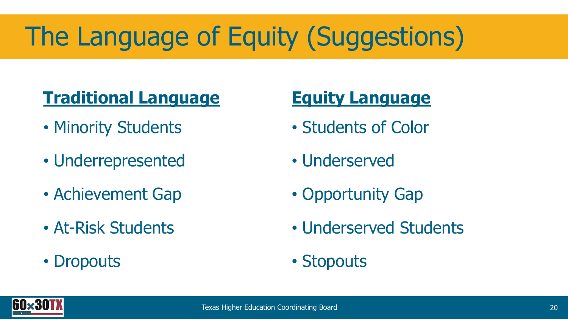# The Language of Equity (Suggestions)

### **Traditional Language**

- Minority Students
- Underrepresented
- Achievement Gap
- At-Risk Students
- Dropouts

#### **Equity Language**

- Students of Color
- Underserved
- Opportunity Gap
- Underserved Students
- Stopouts

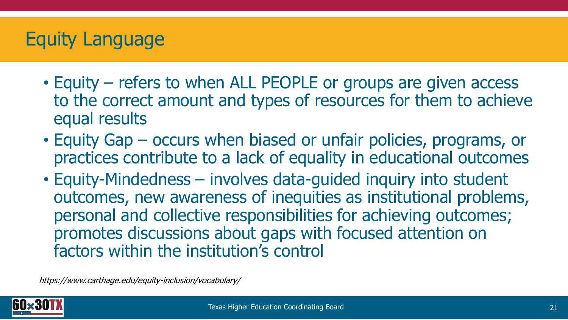#### Equity Language

- Equity refers to when ALL PEOPLE or groups are given access to the correct amount and types of resources for them to achieve equal results
- Equity Gap occurs when biased or unfair policies, programs, or practices contribute to a lack of equality in educational outcomes
- Equity-Mindedness involves data-guided inquiry into student outcomes, new awareness of inequities as institutional problems, personal and collective responsibilities for achieving outcomes; promotes discussions about gaps with focused attention on factors within the institution's control

https://www.carthage.edu/equity-inclusion/vocabulary/

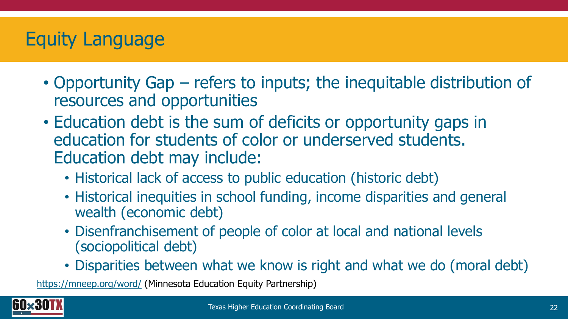### Equity Language

- Opportunity Gap refers to inputs; the inequitable distribution of resources and opportunities
- Education debt is the sum of deficits or opportunity gaps in education for students of color or underserved students. Education debt may include:
	- Historical lack of access to public education (historic debt)
	- Historical inequities in school funding, income disparities and general wealth (economic debt)
	- Disenfranchisement of people of color at local and national levels (sociopolitical debt)
	- Disparities between what we know is right and what we do (moral debt)

<https://mneep.org/word/> (Minnesota Education Equity Partnership)

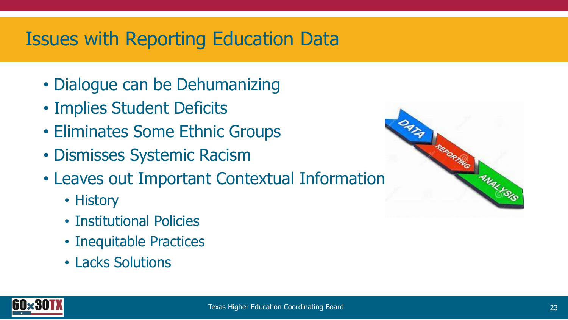#### Issues with Reporting Education Data

- Dialogue can be Dehumanizing
- Implies Student Deficits
- Eliminates Some Ethnic Groups
- Dismisses Systemic Racism
- Leaves out Important Contextual Information
	- History
	- Institutional Policies
	- Inequitable Practices
	- Lacks Solutions



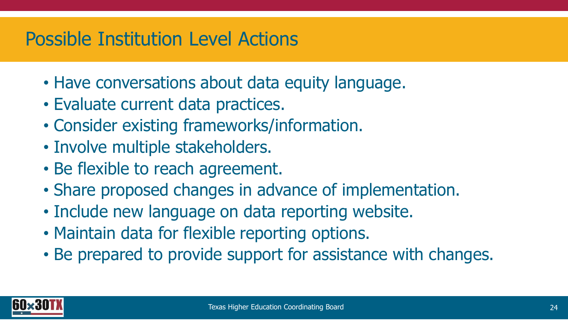#### Possible Institution Level Actions

- Have conversations about data equity language.
- Evaluate current data practices.
- Consider existing frameworks/information.
- Involve multiple stakeholders.
- Be flexible to reach agreement.
- Share proposed changes in advance of implementation.
- Include new language on data reporting website.
- Maintain data for flexible reporting options.
- Be prepared to provide support for assistance with changes.

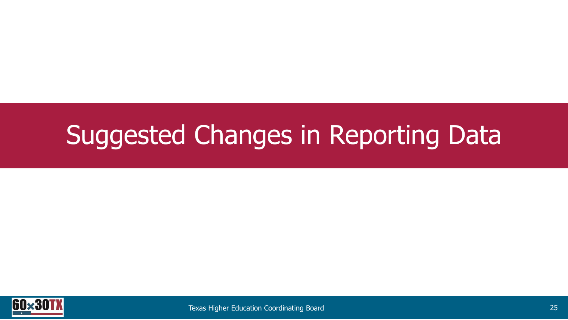# Suggested Changes in Reporting Data

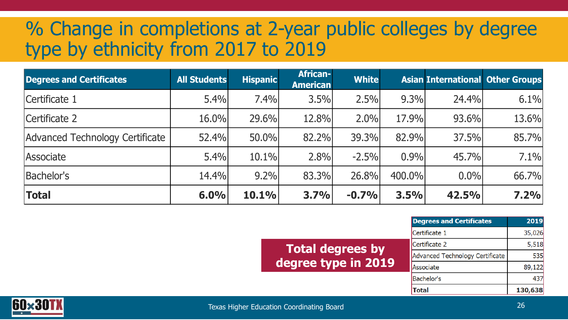#### % Change in completions at 2-year public colleges by degree type by ethnicity from 2017 to 2019

| <b>Degrees and Certificates</b> | <b>All Students</b> | <b>Hispanic</b> | <b>African-</b><br><b>American</b> | <b>White</b> |        |         | <b>Asian International Other Groups</b> |
|---------------------------------|---------------------|-----------------|------------------------------------|--------------|--------|---------|-----------------------------------------|
| Certificate 1                   | 5.4%                | 7.4%            | 3.5%                               | 2.5%         | 9.3%   | 24.4%   | 6.1%                                    |
| Certificate 2                   | 16.0%               | 29.6%           | 12.8%                              | 2.0%         | 17.9%  | 93.6%   | 13.6%                                   |
| Advanced Technology Certificate | 52.4%               | 50.0%           | 82.2%                              | 39.3%        | 82.9%  | 37.5%   | 85.7%                                   |
| Associate                       | 5.4%                | 10.1%           | 2.8%                               | $-2.5%$      | 0.9%   | 45.7%   | 7.1%                                    |
| Bachelor's                      | 14.4%               | $9.2\%$         | 83.3%                              | 26.8%        | 400.0% | $0.0\%$ | 66.7%                                   |
| <b>Total</b>                    | 6.0%                | 10.1%           | 3.7%                               | $-0.7%$      | 3.5%   | 42.5%   | 7.2%                                    |

|                         | <b>Degrees and Certificates</b> | 2019    |
|-------------------------|---------------------------------|---------|
| <b>Total degrees by</b> | Certificate 1                   | 35,026  |
|                         | Certificate 2                   | 5,518   |
|                         | Advanced Technology Certificate | 535     |
| egree type in 2019      | Associate                       | 89,122  |
|                         | <b>Bachelor's</b>               | 437     |
|                         | <b>Total</b>                    | 130,638 |



degree type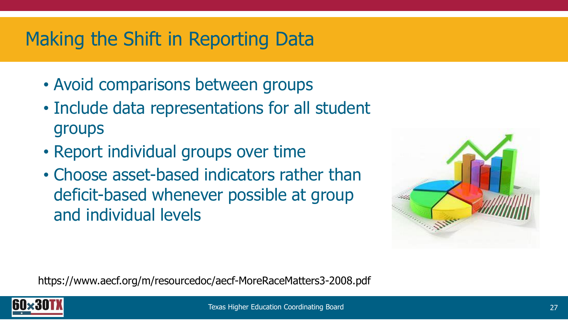### Making the Shift in Reporting Data

- Avoid comparisons between groups
- Include data representations for all student groups
- Report individual groups over time
- Choose asset-based indicators rather than deficit-based whenever possible at group and individual levels



https://www.aecf.org/m/resourcedoc/aecf-MoreRaceMatters3-2008.pdf

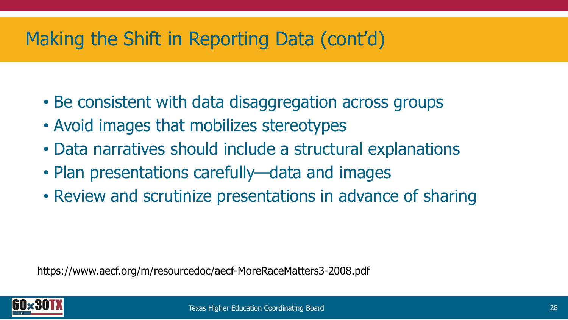### Making the Shift in Reporting Data (cont'd)

- Be consistent with data disaggregation across groups
- Avoid images that mobilizes stereotypes
- Data narratives should include a structural explanations
- Plan presentations carefully—data and images
- Review and scrutinize presentations in advance of sharing

https://www.aecf.org/m/resourcedoc/aecf-MoreRaceMatters3-2008.pdf

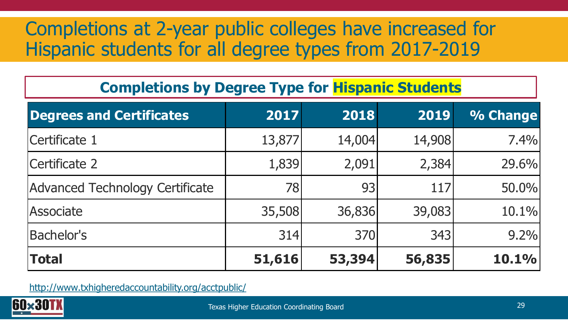### Completions at 2-year public colleges have increased for Hispanic students for all degree types from 2017-2019

#### **Completions by Degree Type for Hispanic Students**

| <b>Degrees and Certificates</b> | 2017   | 2018   | 2019   | % Change |
|---------------------------------|--------|--------|--------|----------|
| Certificate 1                   | 13,877 | 14,004 | 14,908 | 7.4%     |
| Certificate 2                   | 1,839  | 2,091  | 2,384  | 29.6%    |
| Advanced Technology Certificate | 78     | 93     | 117    | 50.0%    |
| Associate                       | 35,508 | 36,836 | 39,083 | 10.1%    |
| <b>Bachelor's</b>               | 314    | 370    | 343    | 9.2%     |
| <b>Total</b>                    | 51,616 | 53,394 | 56,835 | 10.1%    |

<http://www.txhigheredaccountability.org/acctpublic/>

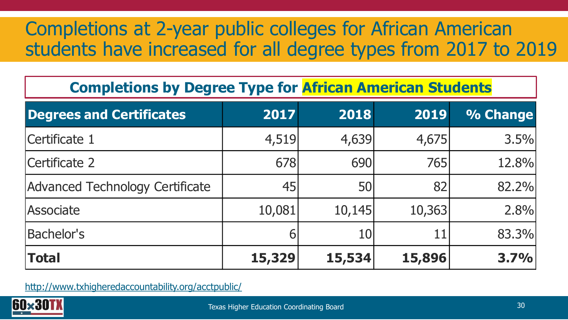### Completions at 2-year public colleges for African American students have increased for all degree types from 2017 to 2019

#### **Completions by Degree Type for African American Students**

| <b>Degrees and Certificates</b> | 2017   | 2018   | 2019   | % Change |
|---------------------------------|--------|--------|--------|----------|
| Certificate 1                   | 4,519  | 4,639  | 4,675  | 3.5%     |
| Certificate 2                   | 678    | 690    | 765    | 12.8%    |
| Advanced Technology Certificate | 45     | 50     | 82     | 82.2%    |
| Associate                       | 10,081 | 10,145 | 10,363 | 2.8%     |
| <b>Bachelor's</b>               |        | 10     | 11     | 83.3%    |
| <b>Total</b>                    | 15,329 | 15,534 | 15,896 | 3.7%     |

<http://www.txhigheredaccountability.org/acctpublic/>

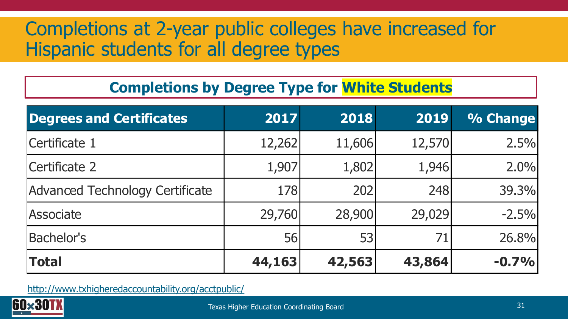#### Completions at 2-year public colleges have increased for Hispanic students for all degree types

#### **Completions by Degree Type for White Students**

| <b>Degrees and Certificates</b> | 2017       | 2018   | 2019   | % Change |
|---------------------------------|------------|--------|--------|----------|
| Certificate 1                   | 12,262     | 11,606 | 12,570 | 2.5%     |
| Certificate 2                   | 1,907      | 1,802  | 1,946  | 2.0%     |
| Advanced Technology Certificate | <b>178</b> | 202    | 248    | 39.3%    |
| Associate                       | 29,760     | 28,900 | 29,029 | $-2.5%$  |
| <b>Bachelor's</b>               | 56         | 53     | 71     | 26.8%    |
| Total                           | 44,163     | 42,563 | 43,864 | $-0.7%$  |

<http://www.txhigheredaccountability.org/acctpublic/>

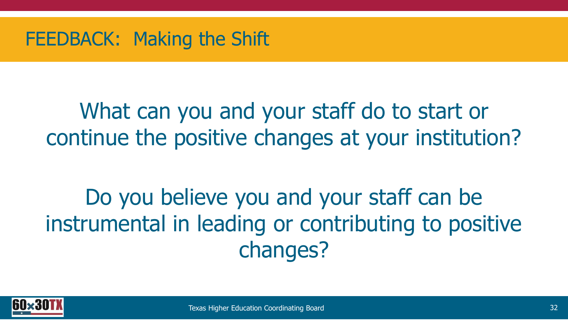#### FEEDBACK: Making the Shift

## What can you and your staff do to start or continue the positive changes at your institution?

Do you believe you and your staff can be instrumental in leading or contributing to positive changes?

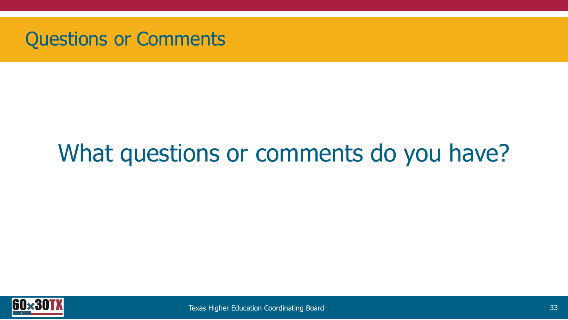

## What questions or comments do you have?

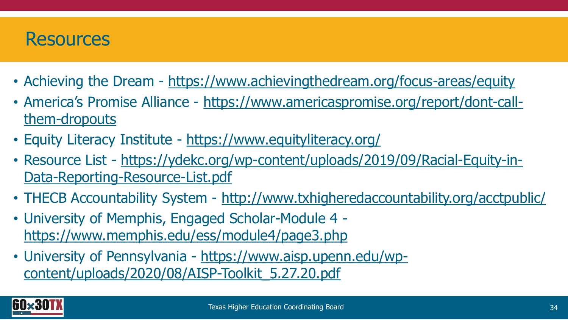#### **Resources**

- Achieving the Dream <https://www.achievingthedream.org/focus-areas/equity>
- America's Promise Alliance [https://www.americaspromise.org/report/dont-call](https://www.americaspromise.org/report/dont-call-them-dropouts)them-dropouts
- Equity Literacy Institute <https://www.equityliteracy.org/>
- Resource List [https://ydekc.org/wp-content/uploads/2019/09/Racial-Equity-in-](https://ydekc.org/wp-content/uploads/2019/09/Racial-Equity-in-Data-Reporting-Resource-List.pdf)Data-Reporting-Resource-List.pdf
- THECB Accountability System <http://www.txhigheredaccountability.org/acctpublic/>
- University of Memphis, Engaged Scholar-Module 4 <https://www.memphis.edu/ess/module4/page3.php>
- University of Pennsylvania https://www.aisp.upenn.edu/wp[content/uploads/2020/08/AISP-Toolkit\\_5.27.20.pdf](https://www.aisp.upenn.edu/wp-content/uploads/2020/08/AISP-Toolkit_5.27.20.pdf)